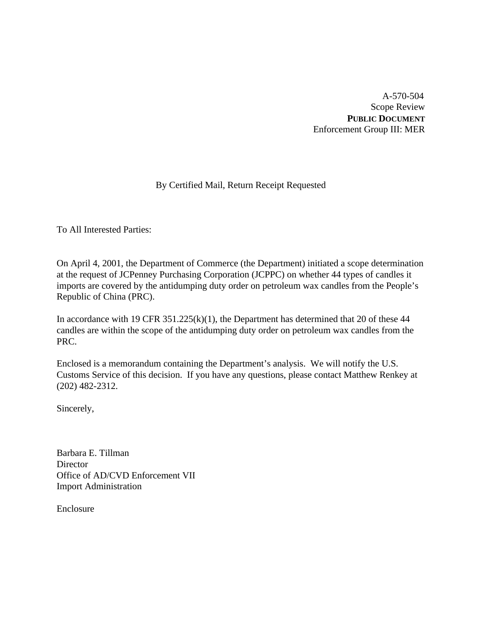A-570-504 Scope Review **PUBLIC DOCUMENT** Enforcement Group III: MER

# By Certified Mail, Return Receipt Requested

To All Interested Parties:

On April 4, 2001, the Department of Commerce (the Department) initiated a scope determination at the request of JCPenney Purchasing Corporation (JCPPC) on whether 44 types of candles it imports are covered by the antidumping duty order on petroleum wax candles from the People's Republic of China (PRC).

In accordance with 19 CFR 351.225(k)(1), the Department has determined that 20 of these 44 candles are within the scope of the antidumping duty order on petroleum wax candles from the PRC.

Enclosed is a memorandum containing the Department's analysis. We will notify the U.S. Customs Service of this decision. If you have any questions, please contact Matthew Renkey at (202) 482-2312.

Sincerely,

Barbara E. Tillman **Director** Office of AD/CVD Enforcement VII Import Administration

Enclosure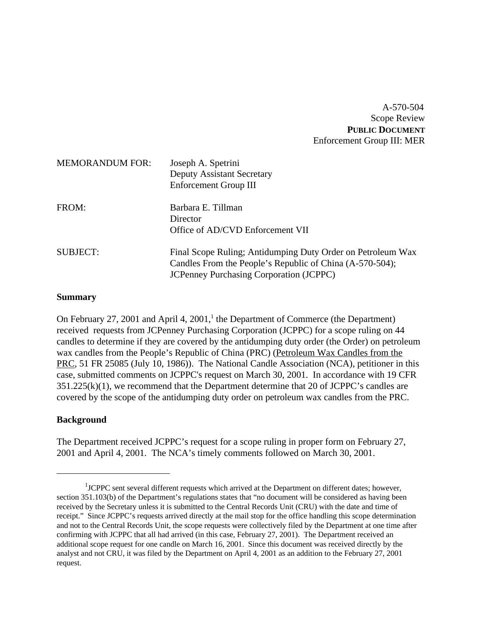A-570-504 Scope Review **PUBLIC DOCUMENT** Enforcement Group III: MER

| <b>MEMORANDUM FOR:</b> | Joseph A. Spetrini<br><b>Deputy Assistant Secretary</b><br><b>Enforcement Group III</b>                                                                                   |
|------------------------|---------------------------------------------------------------------------------------------------------------------------------------------------------------------------|
| FROM:                  | Barbara E. Tillman<br>Director<br>Office of AD/CVD Enforcement VII                                                                                                        |
| <b>SUBJECT:</b>        | Final Scope Ruling; Antidumping Duty Order on Petroleum Wax<br>Candles From the People's Republic of China (A-570-504);<br><b>JCPenney Purchasing Corporation (JCPPC)</b> |

#### **Summary**

On February 27, 2001 and April 4, 2001, $^1$  the Department of Commerce (the Department) received requests from JCPenney Purchasing Corporation (JCPPC) for a scope ruling on 44 candles to determine if they are covered by the antidumping duty order (the Order) on petroleum wax candles from the People's Republic of China (PRC) (Petroleum Wax Candles from the PRC, 51 FR 25085 (July 10, 1986)). The National Candle Association (NCA), petitioner in this case, submitted comments on JCPPC's request on March 30, 2001. In accordance with 19 CFR  $351.225(k)(1)$ , we recommend that the Department determine that 20 of JCPPC's candles are covered by the scope of the antidumping duty order on petroleum wax candles from the PRC.

#### **Background**

The Department received JCPPC's request for a scope ruling in proper form on February 27, 2001 and April 4, 2001. The NCA's timely comments followed on March 30, 2001.

<sup>&</sup>lt;sup>1</sup>JCPPC sent several different requests which arrived at the Department on different dates; however, section 351.103(b) of the Department's regulations states that "no document will be considered as having been received by the Secretary unless it is submitted to the Central Records Unit (CRU) with the date and time of receipt." Since JCPPC's requests arrived directly at the mail stop for the office handling this scope determination and not to the Central Records Unit, the scope requests were collectively filed by the Department at one time after confirming with JCPPC that all had arrived (in this case, February 27, 2001). The Department received an additional scope request for one candle on March 16, 2001. Since this document was received directly by the analyst and not CRU, it was filed by the Department on April 4, 2001 as an addition to the February 27, 2001 request.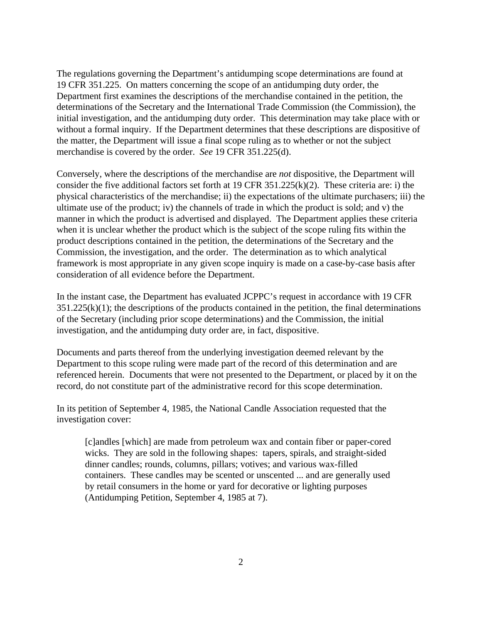The regulations governing the Department's antidumping scope determinations are found at 19 CFR 351.225. On matters concerning the scope of an antidumping duty order, the Department first examines the descriptions of the merchandise contained in the petition, the determinations of the Secretary and the International Trade Commission (the Commission), the initial investigation, and the antidumping duty order. This determination may take place with or without a formal inquiry. If the Department determines that these descriptions are dispositive of the matter, the Department will issue a final scope ruling as to whether or not the subject merchandise is covered by the order. *See* 19 CFR 351.225(d).

Conversely, where the descriptions of the merchandise are *not* dispositive, the Department will consider the five additional factors set forth at 19 CFR 351.225(k)(2). These criteria are: i) the physical characteristics of the merchandise; ii) the expectations of the ultimate purchasers; iii) the ultimate use of the product; iv) the channels of trade in which the product is sold; and v) the manner in which the product is advertised and displayed. The Department applies these criteria when it is unclear whether the product which is the subject of the scope ruling fits within the product descriptions contained in the petition, the determinations of the Secretary and the Commission, the investigation, and the order. The determination as to which analytical framework is most appropriate in any given scope inquiry is made on a case-by-case basis after consideration of all evidence before the Department.

In the instant case, the Department has evaluated JCPPC's request in accordance with 19 CFR  $351.225(k)(1)$ ; the descriptions of the products contained in the petition, the final determinations of the Secretary (including prior scope determinations) and the Commission, the initial investigation, and the antidumping duty order are, in fact, dispositive.

Documents and parts thereof from the underlying investigation deemed relevant by the Department to this scope ruling were made part of the record of this determination and are referenced herein. Documents that were not presented to the Department, or placed by it on the record, do not constitute part of the administrative record for this scope determination.

In its petition of September 4, 1985, the National Candle Association requested that the investigation cover:

[c]andles [which] are made from petroleum wax and contain fiber or paper-cored wicks. They are sold in the following shapes: tapers, spirals, and straight-sided dinner candles; rounds, columns, pillars; votives; and various wax-filled containers. These candles may be scented or unscented ... and are generally used by retail consumers in the home or yard for decorative or lighting purposes (Antidumping Petition, September 4, 1985 at 7).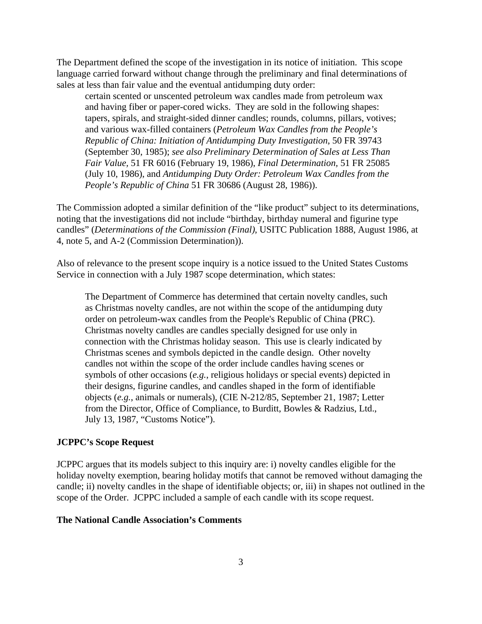The Department defined the scope of the investigation in its notice of initiation. This scope language carried forward without change through the preliminary and final determinations of sales at less than fair value and the eventual antidumping duty order:

certain scented or unscented petroleum wax candles made from petroleum wax and having fiber or paper-cored wicks. They are sold in the following shapes: tapers, spirals, and straight-sided dinner candles; rounds, columns, pillars, votives; and various wax-filled containers (*Petroleum Wax Candles from the People's Republic of China: Initiation of Antidumping Duty Investigation*, 50 FR 39743 (September 30, 1985); *see also Preliminary Determination of Sales at Less Than Fair Value,* 51 FR 6016 (February 19, 1986), *Final Determination,* 51 FR 25085 (July 10, 1986), and *Antidumping Duty Order: Petroleum Wax Candles from the People's Republic of China* 51 FR 30686 (August 28, 1986)).

The Commission adopted a similar definition of the "like product" subject to its determinations, noting that the investigations did not include "birthday, birthday numeral and figurine type candles" (*Determinations of the Commission (Final)*, USITC Publication 1888, August 1986, at 4, note 5, and A-2 (Commission Determination)).

Also of relevance to the present scope inquiry is a notice issued to the United States Customs Service in connection with a July 1987 scope determination, which states:

The Department of Commerce has determined that certain novelty candles, such as Christmas novelty candles, are not within the scope of the antidumping duty order on petroleum-wax candles from the People's Republic of China (PRC). Christmas novelty candles are candles specially designed for use only in connection with the Christmas holiday season. This use is clearly indicated by Christmas scenes and symbols depicted in the candle design. Other novelty candles not within the scope of the order include candles having scenes or symbols of other occasions (*e.g.*, religious holidays or special events) depicted in their designs, figurine candles, and candles shaped in the form of identifiable objects (*e.g.*, animals or numerals), (CIE N-212/85, September 21, 1987; Letter from the Director, Office of Compliance, to Burditt, Bowles & Radzius, Ltd., July 13, 1987, "Customs Notice").

#### **JCPPC's Scope Request**

JCPPC argues that its models subject to this inquiry are: i) novelty candles eligible for the holiday novelty exemption, bearing holiday motifs that cannot be removed without damaging the candle; ii) novelty candles in the shape of identifiable objects; or, iii) in shapes not outlined in the scope of the Order. JCPPC included a sample of each candle with its scope request.

### **The National Candle Association's Comments**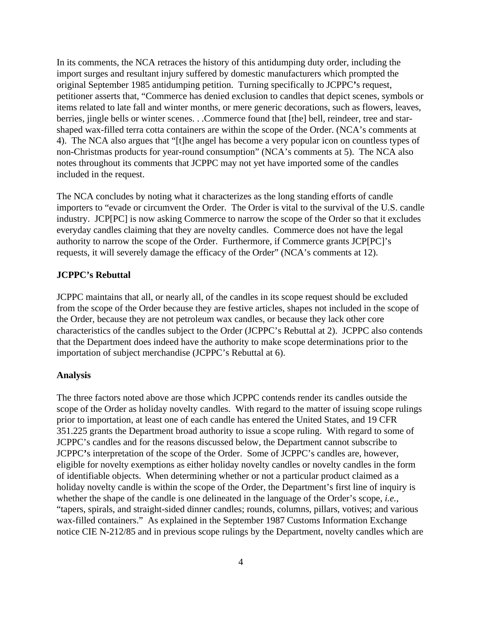In its comments, the NCA retraces the history of this antidumping duty order, including the import surges and resultant injury suffered by domestic manufacturers which prompted the original September 1985 antidumping petition. Turning specifically to JCPPC**'**s request, petitioner asserts that, "Commerce has denied exclusion to candles that depict scenes, symbols or items related to late fall and winter months, or mere generic decorations, such as flowers, leaves, berries, jingle bells or winter scenes. . .Commerce found that [the] bell, reindeer, tree and starshaped wax-filled terra cotta containers are within the scope of the Order. (NCA's comments at 4). The NCA also argues that "[t]he angel has become a very popular icon on countless types of non-Christmas products for year-round consumption" (NCA's comments at 5). The NCA also notes throughout its comments that JCPPC may not yet have imported some of the candles included in the request.

The NCA concludes by noting what it characterizes as the long standing efforts of candle importers to "evade or circumvent the Order. The Order is vital to the survival of the U.S. candle industry. JCP[PC] is now asking Commerce to narrow the scope of the Order so that it excludes everyday candles claiming that they are novelty candles. Commerce does not have the legal authority to narrow the scope of the Order. Furthermore, if Commerce grants JCP[PC]'s requests, it will severely damage the efficacy of the Order" (NCA's comments at 12).

#### **JCPPC's Rebuttal**

JCPPC maintains that all, or nearly all, of the candles in its scope request should be excluded from the scope of the Order because they are festive articles, shapes not included in the scope of the Order, because they are not petroleum wax candles, or because they lack other core characteristics of the candles subject to the Order (JCPPC's Rebuttal at 2).JCPPC also contends that the Department does indeed have the authority to make scope determinations prior to the importation of subject merchandise (JCPPC's Rebuttal at 6).

#### **Analysis**

The three factors noted above are those which JCPPC contends render its candles outside the scope of the Order as holiday novelty candles. With regard to the matter of issuing scope rulings prior to importation, at least one of each candle has entered the United States, and 19 CFR 351.225 grants the Department broad authority to issue a scope ruling. With regard to some of JCPPC's candles and for the reasons discussed below, the Department cannot subscribe to JCPPC**'**s interpretation of the scope of the Order. Some of JCPPC's candles are, however, eligible for novelty exemptions as either holiday novelty candles or novelty candles in the form of identifiable objects. When determining whether or not a particular product claimed as a holiday novelty candle is within the scope of the Order, the Department's first line of inquiry is whether the shape of the candle is one delineated in the language of the Order's scope, *i.e.*, "tapers, spirals, and straight-sided dinner candles; rounds, columns, pillars, votives; and various wax-filled containers." As explained in the September 1987 Customs Information Exchange notice CIE N-212/85 and in previous scope rulings by the Department, novelty candles which are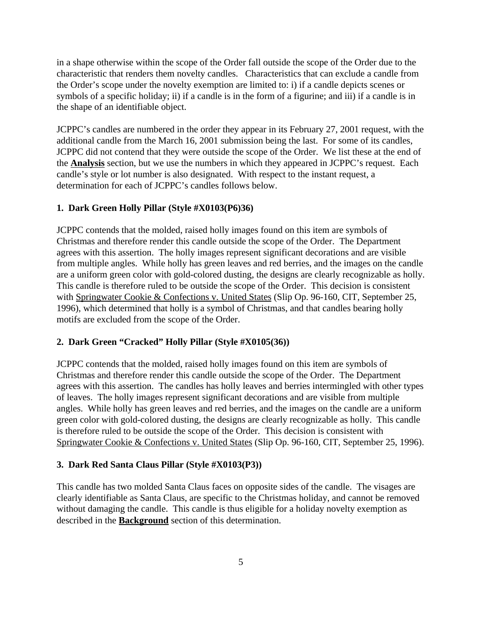in a shape otherwise within the scope of the Order fall outside the scope of the Order due to the characteristic that renders them novelty candles. Characteristics that can exclude a candle from the Order's scope under the novelty exemption are limited to: i) if a candle depicts scenes or symbols of a specific holiday; ii) if a candle is in the form of a figurine; and iii) if a candle is in the shape of an identifiable object.

JCPPC's candles are numbered in the order they appear in its February 27, 2001 request, with the additional candle from the March 16, 2001 submission being the last. For some of its candles, JCPPC did not contend that they were outside the scope of the Order. We list these at the end of the **Analysis** section, but we use the numbers in which they appeared in JCPPC's request. Each candle's style or lot number is also designated. With respect to the instant request, a determination for each of JCPPC's candles follows below.

### **1. Dark Green Holly Pillar (Style #X0103(P6)36)**

JCPPC contends that the molded, raised holly images found on this item are symbols of Christmas and therefore render this candle outside the scope of the Order. The Department agrees with this assertion. The holly images represent significant decorations and are visible from multiple angles. While holly has green leaves and red berries, and the images on the candle are a uniform green color with gold-colored dusting, the designs are clearly recognizable as holly. This candle is therefore ruled to be outside the scope of the Order. This decision is consistent with Springwater Cookie & Confections v. United States (Slip Op. 96-160, CIT, September 25, 1996), which determined that holly is a symbol of Christmas, and that candles bearing holly motifs are excluded from the scope of the Order.

#### **2. Dark Green "Cracked" Holly Pillar (Style #X0105(36))**

JCPPC contends that the molded, raised holly images found on this item are symbols of Christmas and therefore render this candle outside the scope of the Order. The Department agrees with this assertion. The candles has holly leaves and berries intermingled with other types of leaves. The holly images represent significant decorations and are visible from multiple angles. While holly has green leaves and red berries, and the images on the candle are a uniform green color with gold-colored dusting, the designs are clearly recognizable as holly. This candle is therefore ruled to be outside the scope of the Order. This decision is consistent with Springwater Cookie & Confections v. United States (Slip Op. 96-160, CIT, September 25, 1996).

#### **3. Dark Red Santa Claus Pillar (Style #X0103(P3))**

This candle has two molded Santa Claus faces on opposite sides of the candle. The visages are clearly identifiable as Santa Claus, are specific to the Christmas holiday, and cannot be removed without damaging the candle. This candle is thus eligible for a holiday novelty exemption as described in the **Background** section of this determination.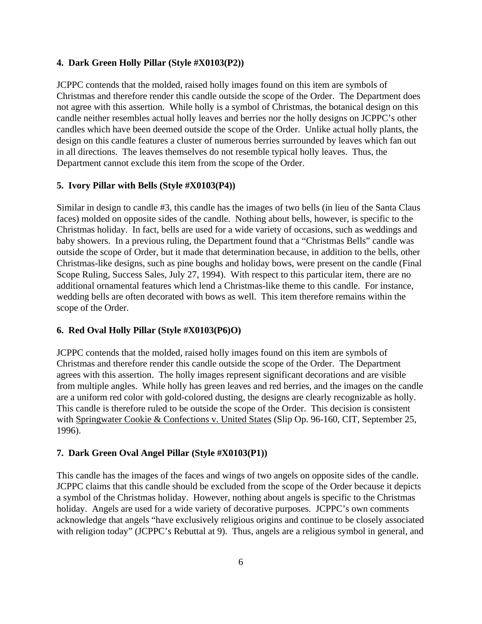#### **4. Dark Green Holly Pillar (Style #X0103(P2))**

JCPPC contends that the molded, raised holly images found on this item are symbols of Christmas and therefore render this candle outside the scope of the Order. The Department does not agree with this assertion. While holly is a symbol of Christmas, the botanical design on this candle neither resembles actual holly leaves and berries nor the holly designs on JCPPC's other candles which have been deemed outside the scope of the Order. Unlike actual holly plants, the design on this candle features a cluster of numerous berries surrounded by leaves which fan out in all directions. The leaves themselves do not resemble typical holly leaves. Thus, the Department cannot exclude this item from the scope of the Order.

#### **5. Ivory Pillar with Bells (Style #X0103(P4))**

Similar in design to candle #3, this candle has the images of two bells (in lieu of the Santa Claus faces) molded on opposite sides of the candle. Nothing about bells, however, is specific to the Christmas holiday. In fact, bells are used for a wide variety of occasions, such as weddings and baby showers. In a previous ruling, the Department found that a "Christmas Bells" candle was outside the scope of Order, but it made that determination because, in addition to the bells, other Christmas-like designs, such as pine boughs and holiday bows, were present on the candle (Final Scope Ruling, Success Sales, July 27, 1994). With respect to this particular item, there are no additional ornamental features which lend a Christmas-like theme to this candle. For instance, wedding bells are often decorated with bows as well. This item therefore remains within the scope of the Order.

#### **6. Red Oval Holly Pillar (Style #X0103(P6)O)**

JCPPC contends that the molded, raised holly images found on this item are symbols of Christmas and therefore render this candle outside the scope of the Order. The Department agrees with this assertion. The holly images represent significant decorations and are visible from multiple angles. While holly has green leaves and red berries, and the images on the candle are a uniform red color with gold-colored dusting, the designs are clearly recognizable as holly. This candle is therefore ruled to be outside the scope of the Order. This decision is consistent with Springwater Cookie & Confections v. United States (Slip Op. 96-160, CIT, September 25, 1996).

#### **7. Dark Green Oval Angel Pillar (Style #X0103(P1))**

This candle has the images of the faces and wings of two angels on opposite sides of the candle. JCPPC claims that this candle should be excluded from the scope of the Order because it depicts a symbol of the Christmas holiday. However, nothing about angels is specific to the Christmas holiday. Angels are used for a wide variety of decorative purposes. JCPPC's own comments acknowledge that angels "have exclusively religious origins and continue to be closely associated with religion today" (JCPPC's Rebuttal at 9). Thus, angels are a religious symbol in general, and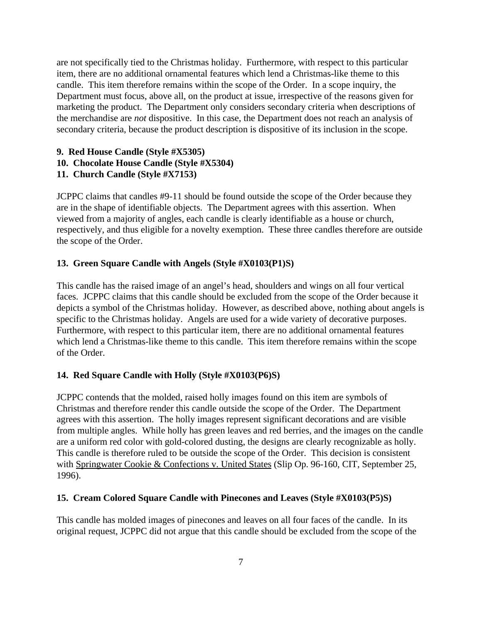are not specifically tied to the Christmas holiday. Furthermore, with respect to this particular item, there are no additional ornamental features which lend a Christmas-like theme to this candle. This item therefore remains within the scope of the Order. In a scope inquiry, the Department must focus, above all, on the product at issue, irrespective of the reasons given for marketing the product. The Department only considers secondary criteria when descriptions of the merchandise are *not* dispositive. In this case, the Department does not reach an analysis of secondary criteria, because the product description is dispositive of its inclusion in the scope.

### **9. Red House Candle (Style #X5305)**

**10. Chocolate House Candle (Style #X5304)**

# **11. Church Candle (Style #X7153)**

JCPPC claims that candles #9-11 should be found outside the scope of the Order because they are in the shape of identifiable objects. The Department agrees with this assertion. When viewed from a majority of angles, each candle is clearly identifiable as a house or church, respectively, and thus eligible for a novelty exemption. These three candles therefore are outside the scope of the Order.

### **13. Green Square Candle with Angels (Style #X0103(P1)S)**

This candle has the raised image of an angel's head, shoulders and wings on all four vertical faces. JCPPC claims that this candle should be excluded from the scope of the Order because it depicts a symbol of the Christmas holiday. However, as described above, nothing about angels is specific to the Christmas holiday. Angels are used for a wide variety of decorative purposes. Furthermore, with respect to this particular item, there are no additional ornamental features which lend a Christmas-like theme to this candle. This item therefore remains within the scope of the Order.

# **14. Red Square Candle with Holly (Style #X0103(P6)S)**

JCPPC contends that the molded, raised holly images found on this item are symbols of Christmas and therefore render this candle outside the scope of the Order. The Department agrees with this assertion. The holly images represent significant decorations and are visible from multiple angles. While holly has green leaves and red berries, and the images on the candle are a uniform red color with gold-colored dusting, the designs are clearly recognizable as holly. This candle is therefore ruled to be outside the scope of the Order. This decision is consistent with Springwater Cookie & Confections v. United States (Slip Op. 96-160, CIT, September 25, 1996).

### **15. Cream Colored Square Candle with Pinecones and Leaves (Style #X0103(P5)S)**

This candle has molded images of pinecones and leaves on all four faces of the candle. In its original request, JCPPC did not argue that this candle should be excluded from the scope of the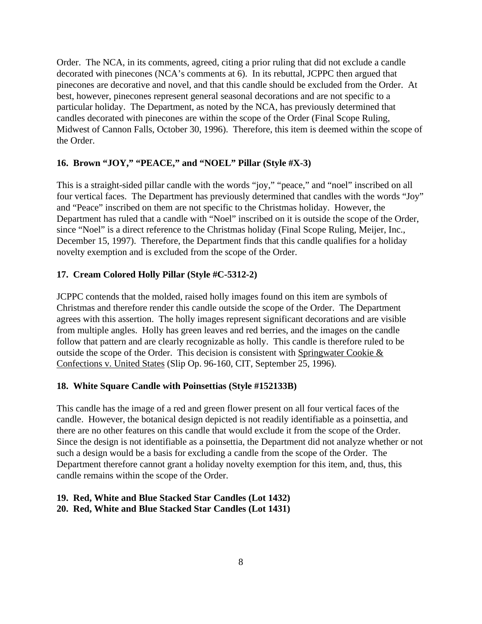Order. The NCA, in its comments, agreed, citing a prior ruling that did not exclude a candle decorated with pinecones (NCA's comments at 6). In its rebuttal, JCPPC then argued that pinecones are decorative and novel, and that this candle should be excluded from the Order. At best, however, pinecones represent general seasonal decorations and are not specific to a particular holiday. The Department, as noted by the NCA, has previously determined that candles decorated with pinecones are within the scope of the Order (Final Scope Ruling, Midwest of Cannon Falls, October 30, 1996). Therefore, this item is deemed within the scope of the Order.

### **16. Brown "JOY," "PEACE," and "NOEL" Pillar (Style #X-3)**

This is a straight-sided pillar candle with the words "joy," "peace," and "noel" inscribed on all four vertical faces. The Department has previously determined that candles with the words "Joy" and "Peace" inscribed on them are not specific to the Christmas holiday. However, the Department has ruled that a candle with "Noel" inscribed on it is outside the scope of the Order, since "Noel" is a direct reference to the Christmas holiday (Final Scope Ruling, Meijer, Inc., December 15, 1997). Therefore, the Department finds that this candle qualifies for a holiday novelty exemption and is excluded from the scope of the Order.

### **17. Cream Colored Holly Pillar (Style #C-5312-2)**

JCPPC contends that the molded, raised holly images found on this item are symbols of Christmas and therefore render this candle outside the scope of the Order. The Department agrees with this assertion. The holly images represent significant decorations and are visible from multiple angles. Holly has green leaves and red berries, and the images on the candle follow that pattern and are clearly recognizable as holly. This candle is therefore ruled to be outside the scope of the Order. This decision is consistent with Springwater Cookie & Confections v. United States (Slip Op. 96-160, CIT, September 25, 1996).

### **18. White Square Candle with Poinsettias (Style #152133B)**

This candle has the image of a red and green flower present on all four vertical faces of the candle. However, the botanical design depicted is not readily identifiable as a poinsettia, and there are no other features on this candle that would exclude it from the scope of the Order. Since the design is not identifiable as a poinsettia, the Department did not analyze whether or not such a design would be a basis for excluding a candle from the scope of the Order. The Department therefore cannot grant a holiday novelty exemption for this item, and, thus, this candle remains within the scope of the Order.

### **19. Red, White and Blue Stacked Star Candles (Lot 1432)**

### **20. Red, White and Blue Stacked Star Candles (Lot 1431)**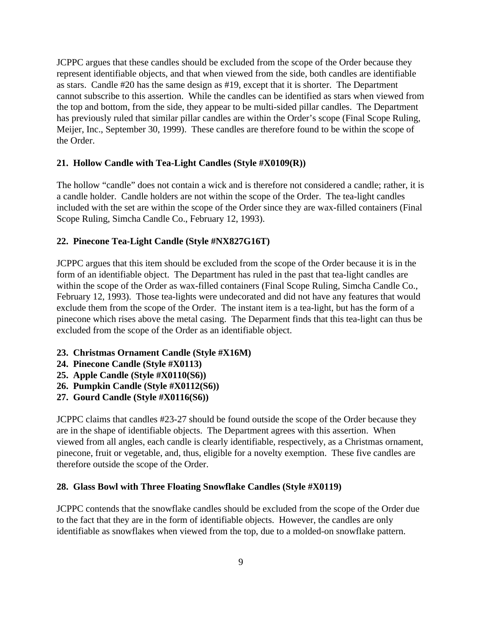JCPPC argues that these candles should be excluded from the scope of the Order because they represent identifiable objects, and that when viewed from the side, both candles are identifiable as stars. Candle #20 has the same design as #19, except that it is shorter. The Department cannot subscribe to this assertion. While the candles can be identified as stars when viewed from the top and bottom, from the side, they appear to be multi-sided pillar candles. The Department has previously ruled that similar pillar candles are within the Order's scope (Final Scope Ruling, Meijer, Inc., September 30, 1999). These candles are therefore found to be within the scope of the Order.

### **21. Hollow Candle with Tea-Light Candles (Style #X0109(R))**

The hollow "candle" does not contain a wick and is therefore not considered a candle; rather, it is a candle holder. Candle holders are not within the scope of the Order. The tea-light candles included with the set are within the scope of the Order since they are wax-filled containers (Final Scope Ruling, Simcha Candle Co., February 12, 1993).

### **22. Pinecone Tea-Light Candle (Style #NX827G16T)**

JCPPC argues that this item should be excluded from the scope of the Order because it is in the form of an identifiable object. The Department has ruled in the past that tea-light candles are within the scope of the Order as wax-filled containers (Final Scope Ruling, Simcha Candle Co., February 12, 1993). Those tea-lights were undecorated and did not have any features that would exclude them from the scope of the Order. The instant item is a tea-light, but has the form of a pinecone which rises above the metal casing. The Deparment finds that this tea-light can thus be excluded from the scope of the Order as an identifiable object.

### **23. Christmas Ornament Candle (Style #X16M)**

- **24. Pinecone Candle (Style #X0113)**
- **25. Apple Candle (Style #X0110(S6))**
- **26. Pumpkin Candle (Style #X0112(S6))**
- **27. Gourd Candle (Style #X0116(S6))**

JCPPC claims that candles #23-27 should be found outside the scope of the Order because they are in the shape of identifiable objects. The Department agrees with this assertion. When viewed from all angles, each candle is clearly identifiable, respectively, as a Christmas ornament, pinecone, fruit or vegetable, and, thus, eligible for a novelty exemption. These five candles are therefore outside the scope of the Order.

#### **28. Glass Bowl with Three Floating Snowflake Candles (Style #X0119)**

JCPPC contends that the snowflake candles should be excluded from the scope of the Order due to the fact that they are in the form of identifiable objects. However, the candles are only identifiable as snowflakes when viewed from the top, due to a molded-on snowflake pattern.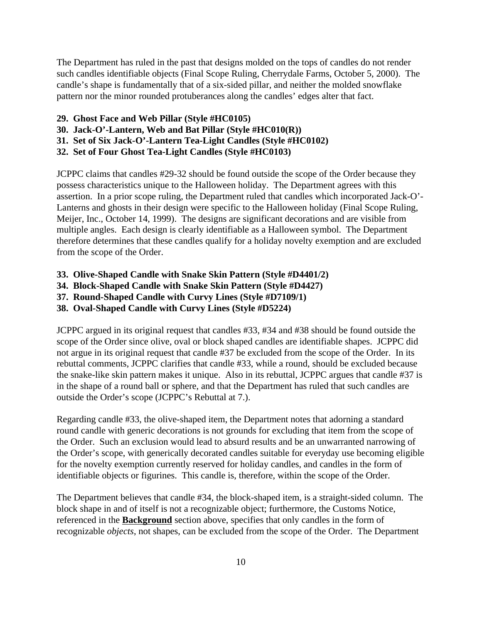The Department has ruled in the past that designs molded on the tops of candles do not render such candles identifiable objects (Final Scope Ruling, Cherrydale Farms, October 5, 2000). The candle's shape is fundamentally that of a six-sided pillar, and neither the molded snowflake pattern nor the minor rounded protuberances along the candles' edges alter that fact.

- **29. Ghost Face and Web Pillar (Style #HC0105)**
- **30. Jack-O'-Lantern, Web and Bat Pillar (Style #HC010(R))**
- **31. Set of Six Jack-O'-Lantern Tea-Light Candles (Style #HC0102)**
- **32. Set of Four Ghost Tea-Light Candles (Style #HC0103)**

JCPPC claims that candles #29-32 should be found outside the scope of the Order because they possess characteristics unique to the Halloween holiday. The Department agrees with this assertion. In a prior scope ruling, the Department ruled that candles which incorporated Jack-O'- Lanterns and ghosts in their design were specific to the Halloween holiday (Final Scope Ruling, Meijer, Inc., October 14, 1999). The designs are significant decorations and are visible from multiple angles. Each design is clearly identifiable as a Halloween symbol. The Department therefore determines that these candles qualify for a holiday novelty exemption and are excluded from the scope of the Order.

- **33. Olive-Shaped Candle with Snake Skin Pattern (Style #D4401/2)**
- **34. Block-Shaped Candle with Snake Skin Pattern (Style #D4427)**
- **37. Round-Shaped Candle with Curvy Lines (Style #D7109/1)**
- **38. Oval-Shaped Candle with Curvy Lines (Style #D5224)**

JCPPC argued in its original request that candles #33, #34 and #38 should be found outside the scope of the Order since olive, oval or block shaped candles are identifiable shapes. JCPPC did not argue in its original request that candle #37 be excluded from the scope of the Order. In its rebuttal comments, JCPPC clarifies that candle #33, while a round, should be excluded because the snake-like skin pattern makes it unique. Also in its rebuttal, JCPPC argues that candle #37 is in the shape of a round ball or sphere, and that the Department has ruled that such candles are outside the Order's scope (JCPPC's Rebuttal at 7.).

Regarding candle #33, the olive-shaped item, the Department notes that adorning a standard round candle with generic decorations is not grounds for excluding that item from the scope of the Order. Such an exclusion would lead to absurd results and be an unwarranted narrowing of the Order's scope, with generically decorated candles suitable for everyday use becoming eligible for the novelty exemption currently reserved for holiday candles, and candles in the form of identifiable objects or figurines. This candle is, therefore, within the scope of the Order.

The Department believes that candle #34, the block-shaped item, is a straight-sided column. The block shape in and of itself is not a recognizable object; furthermore, the Customs Notice, referenced in the **Background** section above, specifies that only candles in the form of recognizable *objects*, not shapes, can be excluded from the scope of the Order. The Department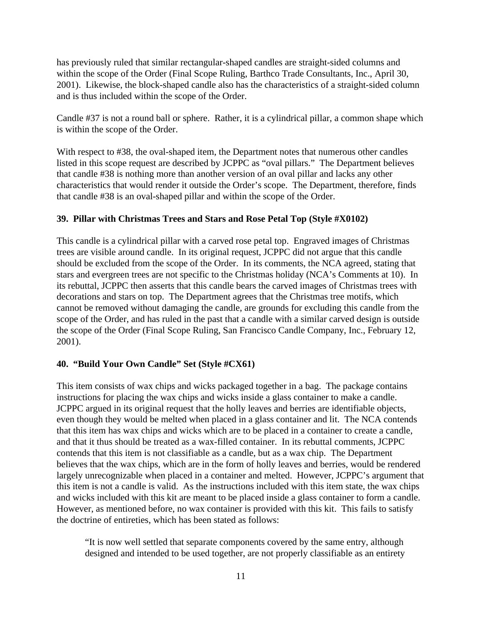has previously ruled that similar rectangular-shaped candles are straight-sided columns and within the scope of the Order (Final Scope Ruling, Barthco Trade Consultants, Inc., April 30, 2001). Likewise, the block-shaped candle also has the characteristics of a straight-sided column and is thus included within the scope of the Order.

Candle #37 is not a round ball or sphere. Rather, it is a cylindrical pillar, a common shape which is within the scope of the Order.

With respect to #38, the oval-shaped item, the Department notes that numerous other candles listed in this scope request are described by JCPPC as "oval pillars." The Department believes that candle #38 is nothing more than another version of an oval pillar and lacks any other characteristics that would render it outside the Order's scope. The Department, therefore, finds that candle #38 is an oval-shaped pillar and within the scope of the Order.

### **39. Pillar with Christmas Trees and Stars and Rose Petal Top (Style #X0102)**

This candle is a cylindrical pillar with a carved rose petal top. Engraved images of Christmas trees are visible around candle. In its original request, JCPPC did not argue that this candle should be excluded from the scope of the Order. In its comments, the NCA agreed, stating that stars and evergreen trees are not specific to the Christmas holiday (NCA's Comments at 10). In its rebuttal, JCPPC then asserts that this candle bears the carved images of Christmas trees with decorations and stars on top. The Department agrees that the Christmas tree motifs, which cannot be removed without damaging the candle, are grounds for excluding this candle from the scope of the Order, and has ruled in the past that a candle with a similar carved design is outside the scope of the Order (Final Scope Ruling, San Francisco Candle Company, Inc., February 12, 2001).

#### **40. "Build Your Own Candle" Set (Style #CX61)**

This item consists of wax chips and wicks packaged together in a bag. The package contains instructions for placing the wax chips and wicks inside a glass container to make a candle. JCPPC argued in its original request that the holly leaves and berries are identifiable objects, even though they would be melted when placed in a glass container and lit. The NCA contends that this item has wax chips and wicks which are to be placed in a container to create a candle, and that it thus should be treated as a wax-filled container. In its rebuttal comments, JCPPC contends that this item is not classifiable as a candle, but as a wax chip. The Department believes that the wax chips, which are in the form of holly leaves and berries, would be rendered largely unrecognizable when placed in a container and melted. However, JCPPC's argument that this item is not a candle is valid. As the instructions included with this item state, the wax chips and wicks included with this kit are meant to be placed inside a glass container to form a candle. However, as mentioned before, no wax container is provided with this kit. This fails to satisfy the doctrine of entireties, which has been stated as follows:

"It is now well settled that separate components covered by the same entry, although designed and intended to be used together, are not properly classifiable as an entirety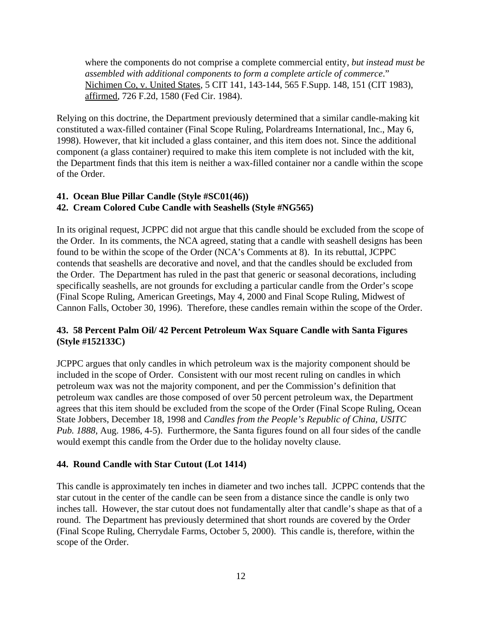where the components do not comprise a complete commercial entity, *but instead must be assembled with additional components to form a complete article of commerce*." Nichimen Co, v. United States, 5 CIT 141, 143-144, 565 F.Supp. 148, 151 (CIT 1983), affirmed, 726 F.2d, 1580 (Fed Cir. 1984).

Relying on this doctrine, the Department previously determined that a similar candle-making kit constituted a wax-filled container (Final Scope Ruling, Polardreams International, Inc., May 6, 1998). However, that kit included a glass container, and this item does not. Since the additional component (a glass container) required to make this item complete is not included with the kit, the Department finds that this item is neither a wax-filled container nor a candle within the scope of the Order.

# **41. Ocean Blue Pillar Candle (Style #SC01(46))**

# **42. Cream Colored Cube Candle with Seashells (Style #NG565)**

In its original request, JCPPC did not argue that this candle should be excluded from the scope of the Order. In its comments, the NCA agreed, stating that a candle with seashell designs has been found to be within the scope of the Order (NCA's Comments at 8). In its rebuttal, JCPPC contends that seashells are decorative and novel, and that the candles should be excluded from the Order. The Department has ruled in the past that generic or seasonal decorations, including specifically seashells, are not grounds for excluding a particular candle from the Order's scope (Final Scope Ruling, American Greetings, May 4, 2000 and Final Scope Ruling, Midwest of Cannon Falls, October 30, 1996). Therefore, these candles remain within the scope of the Order.

# **43. 58 Percent Palm Oil/ 42 Percent Petroleum Wax Square Candle with Santa Figures (Style #152133C)**

JCPPC argues that only candles in which petroleum wax is the majority component should be included in the scope of Order. Consistent with our most recent ruling on candles in which petroleum wax was not the majority component, and per the Commission's definition that petroleum wax candles are those composed of over 50 percent petroleum wax, the Department agrees that this item should be excluded from the scope of the Order (Final Scope Ruling, Ocean State Jobbers, December 18, 1998 and *Candles from the People's Republic of China, USITC Pub. 1888*, Aug. 1986, 4-5). Furthermore, the Santa figures found on all four sides of the candle would exempt this candle from the Order due to the holiday novelty clause.

# **44. Round Candle with Star Cutout (Lot 1414)**

This candle is approximately ten inches in diameter and two inches tall. JCPPC contends that the star cutout in the center of the candle can be seen from a distance since the candle is only two inches tall. However, the star cutout does not fundamentally alter that candle's shape as that of a round. The Department has previously determined that short rounds are covered by the Order (Final Scope Ruling, Cherrydale Farms, October 5, 2000). This candle is, therefore, within the scope of the Order.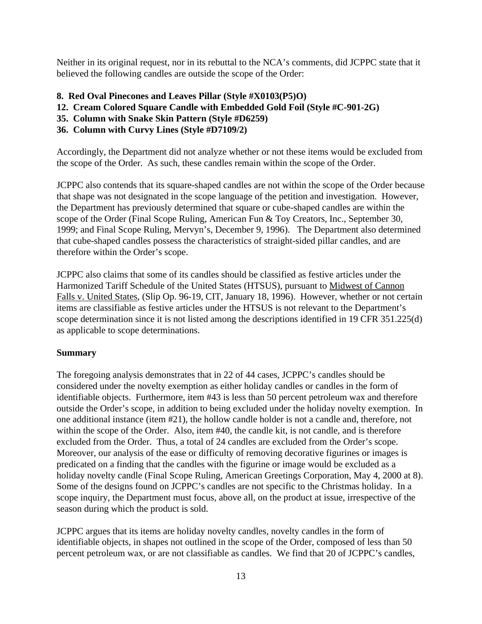Neither in its original request, nor in its rebuttal to the NCA's comments, did JCPPC state that it believed the following candles are outside the scope of the Order:

- **8. Red Oval Pinecones and Leaves Pillar (Style #X0103(P5)O)**
- **12. Cream Colored Square Candle with Embedded Gold Foil (Style #C-901-2G)**
- **35. Column with Snake Skin Pattern (Style #D6259)**
- **36. Column with Curvy Lines (Style #D7109/2)**

Accordingly, the Department did not analyze whether or not these items would be excluded from the scope of the Order. As such, these candles remain within the scope of the Order.

JCPPC also contends that its square-shaped candles are not within the scope of the Order because that shape was not designated in the scope language of the petition and investigation. However, the Department has previously determined that square or cube-shaped candles are within the scope of the Order (Final Scope Ruling, American Fun & Toy Creators, Inc., September 30, 1999; and Final Scope Ruling, Mervyn's, December 9, 1996). The Department also determined that cube-shaped candles possess the characteristics of straight-sided pillar candles, and are therefore within the Order's scope.

JCPPC also claims that some of its candles should be classified as festive articles under the Harmonized Tariff Schedule of the United States (HTSUS), pursuant to Midwest of Cannon Falls v. United States, (Slip Op. 96-19, CIT, January 18, 1996). However, whether or not certain items are classifiable as festive articles under the HTSUS is not relevant to the Department's scope determination since it is not listed among the descriptions identified in 19 CFR 351.225(d) as applicable to scope determinations.

# **Summary**

The foregoing analysis demonstrates that in 22 of 44 cases, JCPPC's candles should be considered under the novelty exemption as either holiday candles or candles in the form of identifiable objects. Furthermore, item #43 is less than 50 percent petroleum wax and therefore outside the Order's scope, in addition to being excluded under the holiday novelty exemption. In one additional instance (item #21), the hollow candle holder is not a candle and, therefore, not within the scope of the Order. Also, item #40, the candle kit, is not candle, and is therefore excluded from the Order. Thus, a total of 24 candles are excluded from the Order's scope. Moreover, our analysis of the ease or difficulty of removing decorative figurines or images is predicated on a finding that the candles with the figurine or image would be excluded as a holiday novelty candle (Final Scope Ruling, American Greetings Corporation, May 4, 2000 at 8). Some of the designs found on JCPPC's candles are not specific to the Christmas holiday. In a scope inquiry, the Department must focus, above all, on the product at issue, irrespective of the season during which the product is sold.

JCPPC argues that its items are holiday novelty candles, novelty candles in the form of identifiable objects, in shapes not outlined in the scope of the Order, composed of less than 50 percent petroleum wax, or are not classifiable as candles. We find that 20 of JCPPC's candles,